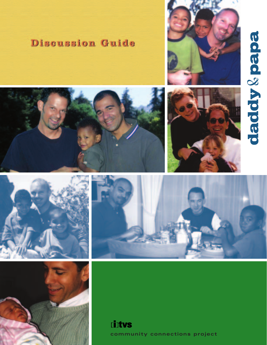# daddy & papa



# **Discussion Guide**











**Cintus community connections project**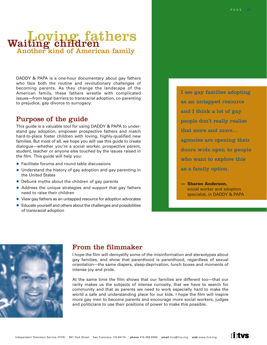# Loving fathers Another kind of American family Waiting children

DADDY & PAPA is a one-hour documentary about gay fathers who face both the routine and revolutionary challenges of becoming parents. As they change the landscape of the American family, these fathers wrestle with complicated issues—from legal barriers to transracial adoption, co-parenting to prejudice, gay divorce to surrogacy.

# Purpose of the guide

This guide is a valuable tool for using DADDY & PAPA to understand gay adoption, empower prospective fathers and match hard-to-place foster children with loving, highly-qualified new families. But most of all, we hope you will use this guide to create dialogue—whether you're a social worker, prospective parent, student, teacher or anyone else touched by the issues raised in the film. This guide will help you:

- **•** Facilitate forums and round table discussions
- **•** Understand the history of gay adoption and gay parenting in the United States
- **•** Debunk myths about the children of gay parents
- **•** Address the unique strategies and support that gay fathers need to raise their children
- **•** View gay fathers as an untapped resource for adoption advocates
- **•** Educate yourself and others about the challenges and possibilities of transracial adoption

I see gay families adopting as an untapped resource and I think a lot of gay people don't really realize that more and more… agencies are opening their doors wide open to people who want to explore this as a family option.

**— Sharon Anderson,**  social worker and adoption specialist, in DADDY & PAPA

**Tintys** 



# From the filmmaker

I hope the film will demystify some of the misinformation and stereotypes about gay families, and show that parenthood is parenthood, regardless of sexual orientation—the same diapers, sleep-deprivation, lunch boxes and moments of intense joy and pride.

At the same time the film shows that our families are different too—that our rarity makes us the subjects of intense curiosity, that we have to search for community and that as parents we need to work especially hard to make the world a safe and understanding place for our kids. I hope the film will inspire more gay men to become parents and encourage more social workers, judges and politicians to use their positions of power to make this possible.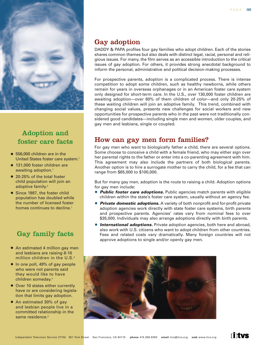

# Adoption and foster care facts

- **•** 556,000 children are in the United States foster care system.<sup>1</sup>
- **•** 131,000 foster children are awaiting adoption.<sup>1</sup>
- **•** 20-25% of the total foster child population will join an adoptive family.<sup>2</sup>
- **•** Since 1987, the foster child population has doubled while the number of licensed foster homes continues to decline.<sup>1</sup>

# Gay family facts

- **•** An estimated 4 million gay men and lesbians are raising 8-10 million children in the U.S.<sup>3</sup>
- **•** In one poll, 49% of gay people who were not parents said they would like to have children someday.4
- **•** Over 10 states either currently have or are considering legislation that limits gay adoption.
- **•** An estimated 30% of gay and lesbian people live in a committed relationship in the same residence.<sup>5</sup>

# Gay adoption

DADDY & PAPA profiles four gay families who adopt children. Each of the stories shares common themes but also deals with distinct legal, racial, personal and religious issues. For many, the film serves as an accessible introduction to the critical issues of gay adoption. For others, it provides strong anecdotal background to inform the personal, administrative and political decision-making processes.

For prospective parents, adoption is a complicated process. There is intense competition to adopt some children, such as healthy newborns, while others remain for years in overseas orphanages or in an American foster care system only designed for short-term care. In the U.S., over 130,000 foster children are awaiting adoption—over 60% of them children of color—and only 20-25% of these waiting children will join an adoptive family. This trend, combined with changing social values, presents new challenges for social workers and new opportunities for prospective parents who in the past were not traditionally considered good candidates—including single men and women, older couples, and gay men and lesbians, single or coupled.

# How can gay men form families?

For gay men who want to biologically father a child, there are several options. Some choose to conceive a child with a female friend, who may either sign over her parental rights to the father or enter into a co-parenting agreement with him. This agreement may also include the partners of both biological parents. Another option is to hire a surrogate mother to carry the child, for a fee that can range from \$65,000 to \$100,000.

But for many gay men, adoption is the route to raising a child. Adoption options for gay men include:

- **• Public foster care adoptions.** Public agencies match parents with eligible children within the state's foster care system, usually without an agency fee.
- **• Private domestic adoptions.** A variety of both nonprofit and for-profit private adoption agencies work directly with state foster care systems, birth parents and prospective parents. Agencies' rates vary from nominal fees to over \$35,000. Individuals may also arrange adoptions directly with birth parents.
- **International adoptions.** Private adoption agencies, both here and abroad, also work with U.S. citizens who want to adopt children from other countries. Fees and related costs vary dramatically. Many foreign countries will not approve adoptions to single and/or openly gay men.



**Tintys**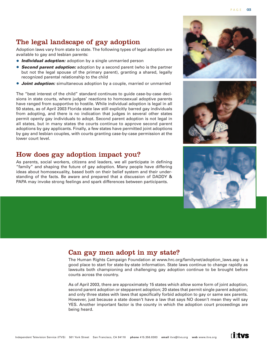# The legal landscape of gay adoption

Adoption laws vary from state to state. The following types of legal adoption are available to gay and lesbian parents:

- **• Individual adoption:** adoption by a single unmarried person
- **• Second parent adoption:** adoption by a second parent (who is the partner but not the legal spouse of the primary parent), granting a shared, legally recognized parental relationship to the child
- *Joint adoption:* simultaneous adoption by a couple, married or unmarried

The "best interest of the child" standard continues to guide case-by-case decisions in state courts, where judges' reactions to homosexual adoptive parents have ranged from supportive to hostile. While individual adoption is legal in all 50 states, as of April 2003 Florida state law still explicitly barred gay individuals from adopting, and there is no indication that judges in several other states permit openly gay individuals to adopt. Second parent adoption is not legal in all states, but in many states the courts continue to approve second parent adoptions by gay applicants. Finally, a few states have permitted joint adoptions by gay and lesbian couples, with courts granting case-by-case permission at the lower court level.

## How does gay adoption impact you?

As parents, social workers, citizens and leaders, we all participate in defining "family" and shaping the future of gay adoption. Many people have differing ideas about homosexuality, based both on their belief system and their understanding of the facts. Be aware and prepared that a discussion of DADDY & PAPA may invoke strong feelings and spark differences between participants.

# Can gay men adopt in my state?

The Human Rights Campaign Foundation at www.hrc.org/familynet/adoption\_laws.asp is a good place to start for state-by-state information. State laws continue to change rapidly as lawsuits both championing and challenging gay adoption continue to be brought before courts across the country.

As of April 2003, there are approximately 15 states which allow some form of joint adoption, second parent adoption or stepparent adoption; 20 states that permit single parent adoption; and only three states with laws that specifically forbid adoption to gay or same sex parents. However, just because a state doesn't have a law that says NO doesn't mean they will say YES. Another important factor is the county in which the adoption court proceedings are being heard.







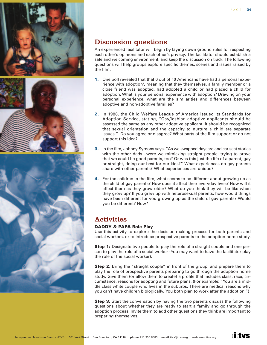

# Discussion questions

An experienced facilitator will begin by laying down ground rules for respecting each other's opinions and each other's privacy. The facilitator should establish a safe and welcoming environment, and keep the discussion on track. The following questions will help groups explore specific themes, scenes and issues raised by the film.

- **1.** One poll revealed that that 6 out of 10 Americans have had a personal experience with adoption<sup>7</sup>, meaning that they themselves, a family member or a close friend was adopted, had adopted a child or had placed a child for adoption. What is your personal experience with adoption? Drawing on your personal experience, what are the similarities and differences between adoptive and non-adoptive families?
- **2.** In 1988, the Child Welfare League of America issued its Standards for Adoption Service, stating, "Gay/lesbian adoptive applicants should be assessed the same as any other adoptive applicant. It should be recognized that sexual orientation and the capacity to nurture a child are separate issues." Do you agree or disagree? What parts of the film support or do not support this idea?
- **3.** In the film, Johnny Symons says, "As we swapped daycare and car seat stories with the other dads…were we mimicking straight people, trying to prove that we could be good parents, too? Or was this just the life of a parent, gay or straight, doing our best for our kids?" What experiences do gay parents share with other parents? What experiences are unique?
- **4.** For the children in the film, what seems to be different about growing up as the child of gay parents? How does it affect their everyday lives? How will it affect them as they grow older? What do you think they will be like when they grow up? If you grew up with heterosexual parents, how would things have been different for you growing up as the child of gay parents? Would you be different? How?

# Activities

### **DADDY & PAPA Role Play**

Use this activity to explore the decision-making process for both parents and social workers, or to introduce prospective parents to the adoption home study.

**Step 1:** Designate two people to play the role of a straight couple and one person to play the role of a social worker (You may want to have the facilitator play the role of the social worker).

**Step 2:** Bring the "straight couple" in front of the group, and prepare them to play the role of prospective parents preparing to go through the adoption home study. Give them (or allow them to create) a profile that includes class, race, circumstance, reasons for adopting and future plans. (For example: "You are a middle class white couple who lives in the suburbs. There are medical reasons why you can't have children biologically. You both plan to work after the adoption.")

**Step 3:** Start the conversation by having the two parents discuss the following questions about whether they are ready to start a family and go through the adoption process. Invite them to add other questions they think are important to preparing themselves.

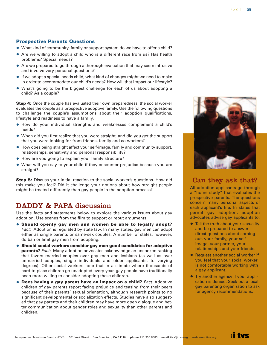### **Prospective Parents Questions**

- **•** What kind of community, family or support system do we have to offer a child?
- **•** Are we willing to adopt a child who is a different race from us? Has health problems? Special needs?
- **•** Are we prepared to go through a thorough evaluation that may seem intrusive and involve very personal questions?
- **•** If we adopt a special needs child, what kind of changes might we need to make in order to accommodate our child's needs? How will that impact our lifestyle?
- **•** What's going to be the biggest challenge for each of us about adopting a child? As a couple?

**Step 4:** Once the couple has evaluated their own preparedness, the social worker evaluates the couple as a prospective adoptive family. Use the following questions to challenge the couple's assumptions about their adoption qualifications, lifestyle and readiness to have a family.

- **•** How do your individual strengths and weaknesses complement a child's needs?
- **•** When did you first realize that you were straight, and did you get the support that you were looking for from friends, family and co-workers?
- **•** How does being straight affect your self-image, family and community support, relationships, sensitivity and personal responsibility?
- **•** How are you going to explain your family structure?
- **•** What will you say to your child if they encounter prejudice because you are straight?

**Step 5:** Discuss your initial reaction to the social worker's questions. How did this make you feel? Did it challenge your notions about how straight people might be treated differently than gay people in the adoption process?

# DADDY & PAPA discussion

Use the facts and statements below to explore the various issues about gay adoption. Use scenes from the film to support or rebut arguments.

- **• Should openly gay men and women be able to legally adopt?** Fact: Adoption is regulated by state law. In many states, gay men can adopt either as single parents or same-sex couples. A number of states, however, do ban or limit gay men from adopting.
- **• Should social workers consider gay men good candidates for adoptive parents?** Fact: Many adoption advocates acknowledge an unspoken ranking that favors married couples over gay men and lesbians (as well as over unmarried couples, single individuals and older applicants, to varying degrees). Other social workers note that in a climate where thousands of hard-to-place children go unadopted every year, gay people have traditionally been more willing to consider adopting these children.
- **•** Does having a gay parent have an impact on a child? *Fact:* Adoptive children of gay parents report facing prejudice and teasing from their peers because of their parents' sexual orientation, although research points to no significant developmental or socialization effects. Studies have also suggested that gay parents and their children may have more open dialogue and better communication about gender roles and sexuality than other parents and children.



# Can they ask that?

All adoption applicants go through a "home study" that evaluates the prospective parents. The questions concern many personal aspects of each applicant's life. In states that permit gay adoption, adoption advocates advise gay applicants to:

- **•** Tell the truth about your sexuality and be prepared to answer direct questions about coming out, your family, your selfimage, your partner, your relationships and your friends.
- **•** Request another social worker if you feel that your social worker is not comfortable working with a gay applicant.
- **•** Try another agency if your application is denied. Seek out a local gay parenting organization to ask for agency recommendations.

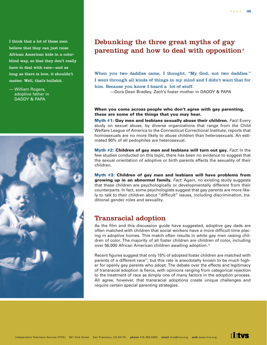I think that a lot of these men believe that they can just raise African American kids in a colorblind way, so that they don't really have to deal with race—and as long as there is love, it shouldn't matter. Well, that's bullshit.

— William Rogers, adoptive father in DADDY & PAPA



# Debunking the three great myths of gay parenting and how to deal with opposition<sup>8</sup>

When you two daddies came, I thought, "My God, not two daddies." I went through all kinds of things in my mind and I didn't want that for him. Because you know I heard a lot of stuff.

—Dora Dean Bradley, Zach's foster mother in DADDY & PAPA

### **When you come across people who don't agree with gay parenting, these are some of the things that you may hear.**

**Myth #1: Gay men and lesbians sexually abuse their children. Fact: Every** study on sexual abuse, by diverse organizations that range from the Child Welfare League of America to the Connecticut Correctional Institute, reports that homosexuals are no more likely to abuse children than heterosexuals. An estimated 90% of all pedophiles are heterosexual.

**Myth #2: Children of gay men and lesbians will turn out gay.** Fact: In the few studies conducted on this topic, there has been no evidence to suggest that the sexual orientation of adoptive or birth parents affects the sexuality of their children.

**Myth #3: Children of gay men and lesbians will have problems from growing up in an abnormal family.** Fact: Again, no existing study suggests that these children are psychologically or developmentally different from their counterparts. In fact, some psychologists suggest that gay parents are more likely to talk to their children about "difficult" issues, including discrimination, traditional gender roles and sexuality.

# Transracial adoption

As the film and this discussion guide have suggested, adoptive gay dads are often matched with children that social workers have a more difficult time placing in adoptive homes. This match often results in white gay men raising children of color. The majority of all foster children are children of color, including over 56,000 African American children awaiting adoption.<sup>12</sup>

Recent figures suggest that only 15% of adopted foster children are matched with parents of a different race<sup>13</sup>, but this rate is anecdotally known to be much higher for openly gay parents who adopt. The debate over the effects and legitimacy of transracial adoption is fierce, with opinions ranging from categorical rejection to the treatment of race as simply one of many factors in the adoption process. All agree, however, that transracial adoptions create unique challenges and require certain special parenting strategies.

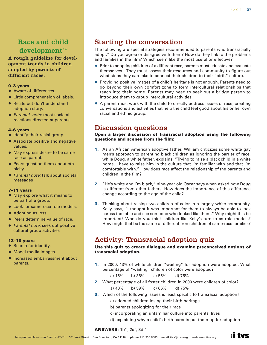# Race and child  $development<sup>14</sup>$

A rough guideline for development trends in children adopted by parents of different races.

### **0–3 years**

- **•** Aware of differences.
- **•** Little comprehension of labels.
- **•** Recite but don't understand adoption story.
- **•** Parental note: most societal reactions directed at parents

### **4–6 years**

- **•** Identify their racial group.
- **•** Associate positive and negative values.
- **•** May express desire to be same race as parent.
- **•** Peers question them about ethnicity.
- **•** Parental note: talk about societal messages

### **7–11 years**

- **•** May explore what it means to be part of a group.
- **•** Look for same race role models.
- **•** Adoption as loss.
- **•** Peers determine value of race.
- **•** Parental note: seek out positive cultural group activities

### **12–18 years**

- **•** Search for identity.
- **•** Model media images.
- **•** Increased embarrassment about parents.

# Starting the conversation

The following are special strategies recommended to parents who transracially adopt.<sup>14</sup> Do you agree or disagree with them? How do they link to the problems and families in the film? Which seem like the most useful or effective?

- **•** Prior to adopting children of a different race, parents must educate and evaluate themselves. They must assess their resources and community to figure out what steps they can take to connect their children to their "birth" culture.
- **•** Providing positive images of a child's heritage is not enough. Parents need to go beyond their own comfort zone to form intercultural relationships that reach into their home. Parents may need to seek out a bridge person to introduce them to group intercultural activities.
- **•** A parent must work with the child to directly address issues of race, creating conversations and activities that help the child feel good about his or her own racial and ethnic group.

# Discussion questions

**Open a larger discussion of transracial adoption using the following questions and scenes from the film:**

- **1.** As an African American adoptive father, William criticizes some white gay men's approach to parenting black children as ignoring the barrier of race, while Doug, a white father, explains, "Trying to raise a black child in a white home, I have to raise him in the culture that I'm familiar with and that I'm comfortable with." How does race affect the relationship of the parents and children in the film?
- **2.** "He's white and I'm black," nine-year old Oscar says when asked how Doug is different from other fathers. How does the importance of this difference change according to the age of the child?
- **3.** Thinking about raising two children of color in a largely white community, Kelly says, "I thought it was important for them to always be able to look across the table and see someone who looked like them." Why might this be important? Who do you think children like Kelly's turn to as role models? How might that be the same or different from children of same-race families?

# Activity: Transracial adoption quiz

### **Use this quiz to create dialogue and examine preconceived notions of transracial adoption.**

**1.** In 2000, 43% of white children "waiting" for adoption were adopted. What percentage of "waiting" children of color were adopted?

a) 15% b) 36% c) 55% d) 75%

- **2.** What percentage of all foster children in 2000 were children of color? a) 40% b) 59% c) 66% d) 75%
- **3.** Which of the following issues is least specific to transracial adoption?
	- a) adopted children losing their birth heritage
	- b) parents apologizing for their race
	- c) incorporating an unfamiliar culture into parents' lives
	- d) explaining why a child's birth parents put them up for adoption

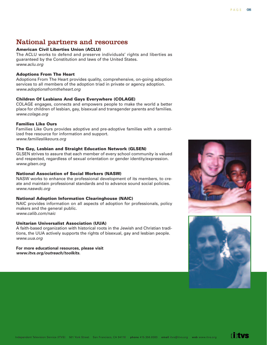Independent Television Service (ITVS) 501 York Street San Francisco, CA 94110 **phone** 415.356.8383 **email** itvs@itvs.org **web** www.itvs.org

# National partners and resources

### **American Civil Liberties Union (ACLU)**

The ACLU works to defend and preserve individuals' rights and liberties as guaranteed by the Constitution and laws of the United States. www.aclu.org

### **Adoptions From The Heart**

Adoptions From The Heart provides quality, comprehensive, on-going adoption services to all members of the adoption triad in private or agency adoption. www.adoptionsfromtheheart.org

### **Children Of Lesbians And Gays Everywhere (COLAGE)**

COLAGE engages, connects and empowers people to make the world a better place for children of lesbian, gay, bisexual and transgender parents and families. www.colage.org

### **Families Like Ours**

Families Like Ours provides adoptive and pre-adoptive families with a centralized free resource for information and support. www.familieslikeours.org

### **The Gay, Lesbian and Straight Education Network (GLSEN)**

GLSEN strives to assure that each member of every school community is valued and respected, regardless of sexual orientation or gender identity/expression. www.glsen.org

### **National Association of Social Workers (NASW)**

NASW works to enhance the professional development of its members, to create and maintain professional standards and to advance sound social policies. www.naswdc.org

### **National Adoption Information Clearinghouse (NAIC)**

NAIC provides information on all aspects of adoption for professionals, policy makers and the general public. www.calib.com/naic

### **Unitarian Universalist Association (UUA)**

A faith-based organization with historical roots in the Jewish and Christian traditions, the UUA actively supports the rights of bisexual, gay and lesbian people. www.uua.org

**For more educational resources, please visit www.itvs.org/outreach/toolkits.**